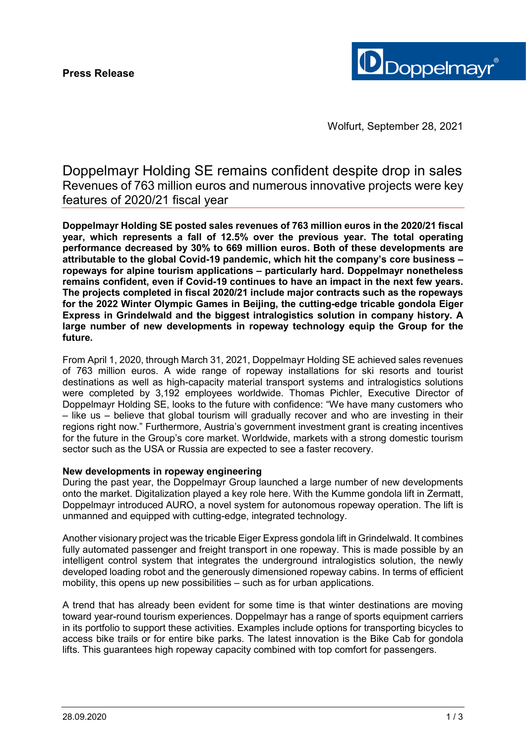

Wolfurt, September 28, 2021

Doppelmayr Holding SE remains confident despite drop in sales Revenues of 763 million euros and numerous innovative projects were key features of 2020/21 fiscal year

**Doppelmayr Holding SE posted sales revenues of 763 million euros in the 2020/21 fiscal year, which represents a fall of 12.5% over the previous year. The total operating performance decreased by 30% to 669 million euros. Both of these developments are attributable to the global Covid-19 pandemic, which hit the company's core business – ropeways for alpine tourism applications – particularly hard. Doppelmayr nonetheless remains confident, even if Covid-19 continues to have an impact in the next few years. The projects completed in fiscal 2020/21 include major contracts such as the ropeways for the 2022 Winter Olympic Games in Beijing, the cutting-edge tricable gondola Eiger Express in Grindelwald and the biggest intralogistics solution in company history. A large number of new developments in ropeway technology equip the Group for the future.**

From April 1, 2020, through March 31, 2021, Doppelmayr Holding SE achieved sales revenues of 763 million euros. A wide range of ropeway installations for ski resorts and tourist destinations as well as high-capacity material transport systems and intralogistics solutions were completed by 3,192 employees worldwide. Thomas Pichler, Executive Director of Doppelmayr Holding SE, looks to the future with confidence: "We have many customers who – like us – believe that global tourism will gradually recover and who are investing in their regions right now." Furthermore, Austria's government investment grant is creating incentives for the future in the Group's core market. Worldwide, markets with a strong domestic tourism sector such as the USA or Russia are expected to see a faster recovery.

# **New developments in ropeway engineering**

During the past year, the Doppelmayr Group launched a large number of new developments onto the market. Digitalization played a key role here. With the Kumme gondola lift in Zermatt, Doppelmayr introduced AURO, a novel system for autonomous ropeway operation. The lift is unmanned and equipped with cutting-edge, integrated technology.

Another visionary project was the tricable Eiger Express gondola lift in Grindelwald. It combines fully automated passenger and freight transport in one ropeway. This is made possible by an intelligent control system that integrates the underground intralogistics solution, the newly developed loading robot and the generously dimensioned ropeway cabins. In terms of efficient mobility, this opens up new possibilities – such as for urban applications.

A trend that has already been evident for some time is that winter destinations are moving toward year-round tourism experiences. Doppelmayr has a range of sports equipment carriers in its portfolio to support these activities. Examples include options for transporting bicycles to access bike trails or for entire bike parks. The latest innovation is the Bike Cab for gondola lifts. This guarantees high ropeway capacity combined with top comfort for passengers.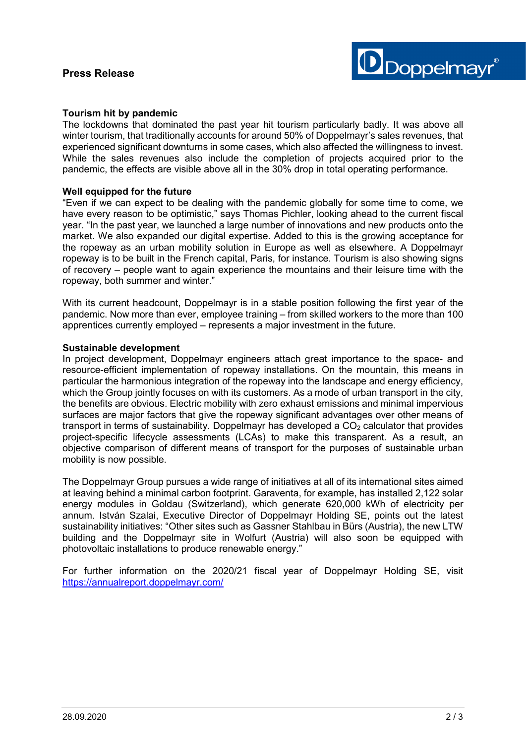

### **Tourism hit by pandemic**

The lockdowns that dominated the past year hit tourism particularly badly. It was above all winter tourism, that traditionally accounts for around 50% of Doppelmayr's sales revenues, that experienced significant downturns in some cases, which also affected the willingness to invest. While the sales revenues also include the completion of projects acquired prior to the pandemic, the effects are visible above all in the 30% drop in total operating performance.

#### **Well equipped for the future**

"Even if we can expect to be dealing with the pandemic globally for some time to come, we have every reason to be optimistic," says Thomas Pichler, looking ahead to the current fiscal year. "In the past year, we launched a large number of innovations and new products onto the market. We also expanded our digital expertise. Added to this is the growing acceptance for the ropeway as an urban mobility solution in Europe as well as elsewhere. A Doppelmayr ropeway is to be built in the French capital, Paris, for instance. Tourism is also showing signs of recovery – people want to again experience the mountains and their leisure time with the ropeway, both summer and winter."

With its current headcount, Doppelmayr is in a stable position following the first year of the pandemic. Now more than ever, employee training – from skilled workers to the more than 100 apprentices currently employed – represents a major investment in the future.

#### **Sustainable development**

In project development, Doppelmayr engineers attach great importance to the space- and resource-efficient implementation of ropeway installations. On the mountain, this means in particular the harmonious integration of the ropeway into the landscape and energy efficiency, which the Group jointly focuses on with its customers. As a mode of urban transport in the city, the benefits are obvious. Electric mobility with zero exhaust emissions and minimal impervious surfaces are major factors that give the ropeway significant advantages over other means of transport in terms of sustainability. Doppelmayr has developed a  $CO<sub>2</sub>$  calculator that provides project-specific lifecycle assessments (LCAs) to make this transparent. As a result, an objective comparison of different means of transport for the purposes of sustainable urban mobility is now possible.

The Doppelmayr Group pursues a wide range of initiatives at all of its international sites aimed at leaving behind a minimal carbon footprint. Garaventa, for example, has installed 2,122 solar energy modules in Goldau (Switzerland), which generate 620,000 kWh of electricity per annum. István Szalai, Executive Director of Doppelmayr Holding SE, points out the latest sustainability initiatives: "Other sites such as Gassner Stahlbau in Bürs (Austria), the new LTW building and the Doppelmayr site in Wolfurt (Austria) will also soon be equipped with photovoltaic installations to produce renewable energy."

For further information on the 2020/21 fiscal year of Doppelmayr Holding SE, visit <https://annualreport.doppelmayr.com/>